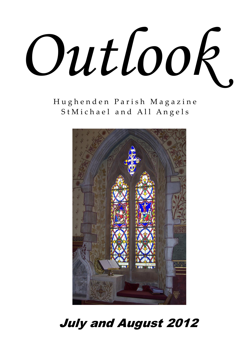

H u g h e n d e n P a r i s h M a g a z i n e St Michael and All Angels



# July and August 2012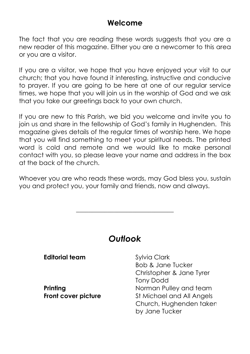### **Welcome**

The fact that you are reading these words suggests that you are a new reader of this magazine. Either you are a newcomer to this area or you are a visitor.

If you are a visitor, we hope that you have enjoyed your visit to our church; that you have found it interesting, instructive and conducive to prayer. If you are going to be here at one of our regular service times, we hope that you will join us in the worship of God and we ask that you take our greetings back to your own church.

If you are new to this Parish, we bid you welcome and invite you to join us and share in the fellowship of God's family in Hughenden. This magazine gives details of the regular times of worship here. We hope that you will find something to meet your spiritual needs. The printed word is cold and remote and we would like to make personal contact with you, so please leave your name and address in the box at the back of the church.

Whoever you are who reads these words, may God bless you, sustain you and protect you, your family and friends, now and always.

\_\_\_\_\_\_\_\_\_\_\_\_\_\_\_\_\_\_\_\_\_\_\_\_\_\_\_\_\_\_\_

### *Outlook*

| <b>Editorial team</b> | <b>Sylvia Clark</b>          |
|-----------------------|------------------------------|
|                       | <b>Bob &amp; Jane Tucker</b> |
|                       | Christopher & Jane Tyrer     |
|                       | <b>Tony Dodd</b>             |
| Printing              | Norman Pulley and team       |
| Front cover picture   | St Michael and All Angels    |
|                       | Church, Hughenden taken      |
|                       | by Jane Tucker               |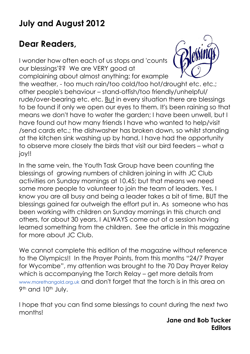# **July and August 2012**

# **Dear Readers,**

I wonder how often each of us stops and 'counts our blessings'?? We are VERY good at complaining about almost anything; for example the weather, - too much rain/too cold/too hot/drought etc. etc.; other people's behaviour – stand-offish/too friendly/unhelpful/ rude/over-bearing etc. etc. But in every situation there are blessings to be found if only we open our eyes to them. It's been raining so that means we don't have to water the garden; I have been unwell, but I have found out how many friends I have who wanted to help/visit /send cards etc.; the dishwasher has broken down, so whilst standing at the kitchen sink washing up by hand, I have had the opportunity to observe more closely the birds that visit our bird feeders – what a joy!!

In the same vein, the Youth Task Group have been counting the blessings of growing numbers of children joining in with JC Club activities on Sunday mornings at 10.45; but that means we need some more people to volunteer to join the team of leaders. Yes, I know you are all busy and being a leader takes a bit of time, BUT the blessings gained far outweigh the effort put in. As someone who has been working with children on Sunday mornings in this church and others, for about 30 years, I ALWAYS come out of a session having learned something from the children. See the article in this magazine for more about JC Club.

We cannot complete this edition of the magazine without reference to the Olympics!! In the Prayer Points, from this months "24/7 Prayer for Wycombe", my attention was brought to the 70 Day Prayer Relay which is accompanying the Torch Relay – get more details from [www.morethangold.org.uk](http://www.morethangold.org.uk/) and don't forget that the torch is in this area on 9<sup>th</sup> and 10<sup>th</sup> July.

I hope that you can find some blessings to count during the next two months!

> **Jane and Bob Tucker Editors**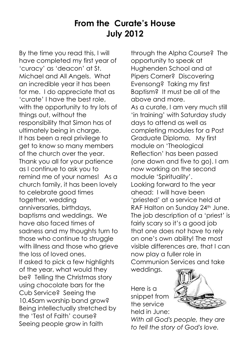## **From the Curate's House July 2012**

By the time you read this, I will have completed my first year of 'curacy' as 'deacon' at St. Michael and All Angels. What an incredible year it has been for me. I do appreciate that as 'curate' I have the best role, with the opportunity to try lots of things out, without the responsibility that Simon has of ultimately being in charge. It has been a real privilege to get to know so many members of the church over the year. Thank you all for your patience as I continue to ask you to remind me of your names! As a church family, it has been lovely to celebrate good times together, wedding anniversaries, birthdays, baptisms and weddings. We have also faced times of sadness and my thoughts turn to those who continue to struggle with illness and those who grieve the loss of loved ones. If asked to pick a few highlights of the year, what would they be? Telling the Christmas story using chocolate bars for the Cub Service? Seeing the 10.45am worship band grow? Being intellectually stretched by the 'Test of Faith' course? Seeing people grow in faith

through the Alpha Course? The opportunity to speak at Hughenden School and at Pipers Corner? Discovering Evensong? Taking my first Baptism? It must be all of the above and more. As a curate, I am very much still 'in training' with Saturday study days to attend as well as completing modules for a Post Graduate Diploma. My first module on 'Theological Reflection' has been passed (one down and five to go). I am now working on the second module 'Spirituality'. Looking forward to the year ahead: I will have been 'priested' at a service held at RAF Halton on Sunday 24<sup>th</sup> June. The job description of a 'priest' is fairly scary so it's a good job that one does not have to rely on one's own ability! The most visible differences are, that I can now play a fuller role in Communion Services and take weddings.

Here is a snippet from the service held in June:



*With all God's people, they are to tell the story of God's love.*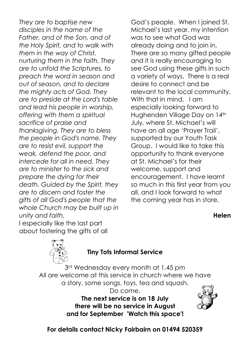*They are to baptise new disciples in the name of the Father, and of the Son, and of the Holy Spirit, and to walk with them in the way of Christ, nurturing them in the faith. They are to unfold the Scriptures, to preach the word in season and out of season, and to declare the mighty acts of God. They are to preside at the Lord's table and lead his people in worship, offering with them a spiritual sacrifice of praise and thanksgiving. They are to bless the people in God's name. They are to resist evil, support the weak, defend the poor, and intercede for all in need. They are to minister to the sick and prepare the dying for their death. Guided by the Spirit, they are to discern and foster the gifts of all God's people that the whole Church may be built up in unity and faith.* I especially like the last part

God's people. When I joined St. Michael's last year, my intention was to see what God was already doing and to join in. There are so many gifted people and it is really encouraging to see God using these gifts in such a variety of ways. There is a real desire to connect and be relevant to the local community. With that in mind, I am especially looking forward to Hughenden Village Day on 14th July, where St. Michael's will have an all age 'Prayer Trail', supported by our Youth Task Group. I would like to take this opportunity to thank everyone at St. Michael's for their welcome, support and encouragement. I have learnt so much in this first year from you all, and I look forward to what the coming year has in store.

#### **Helen**



about fostering the gifts of all

#### **Tiny Tots Informal Service**

3rd Wednesday every month at 1.45 pm All are welcome at this service in church where we have a story, some songs, toys, tea and squash. Do come. **The next service is on 18 July**

**there will be no service in August and for September 'Watch this space'!**



**For details contact Nicky Fairbairn on 01494 520359**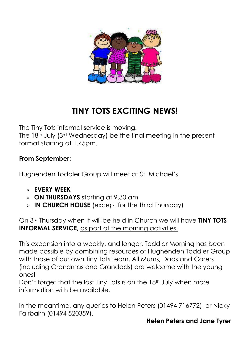

# **TINY TOTS EXCITING NEWS!**

The Tiny Tots informal service is moving! The 18th July (3rd Wednesday) be the final meeting in the present format starting at 1.45pm.

### **From September:**

Hughenden Toddler Group will meet at St. Michael's

- **EVERY WEEK**
- **ON THURSDAYS** starting at 9.30 am
- **IN CHURCH HOUSE** (except for the third Thursday)

On 3rd Thursday when it will be held in Church we will have **TINY TOTS INFORMAL SERVICE,** as part of the morning activities.

This expansion into a weekly, and longer, Toddler Morning has been made possible by combining resources of Hughenden Toddler Group with those of our own Tiny Tots team. All Mums, Dads and Carers (including Grandmas and Grandads) are welcome with the young ones!

Don't forget that the last Tiny Tots is on the 18<sup>th</sup> July when more information with be available.

In the meantime, any queries to Helen Peters (01494 716772), or Nicky Fairbairn (01494 520359).

#### **Helen Peters and Jane Tyrer**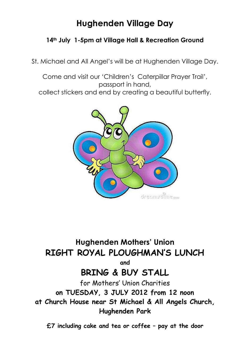# **Hughenden Village Day**

#### **14th July 1-5pm at Village Hall & Recreation Ground**

St. Michael and All Angel's will be at Hughenden Village Day.

Come and visit our 'Children's Caterpillar Prayer Trail', passport in hand, collect stickers and end by creating a beautiful butterfly.



# **Hughenden Mothers' Union RIGHT ROYAL PLOUGHMAN'S LUNCH**

**and**

### **BRING & BUY STALL**

for Mothers' Union Charities **on TUESDAY, 3 JULY 2012 from 12 noon at Church House near St Michael & All Angels Church, Hughenden Park**

**£7 including cake and tea or coffee – pay at the door**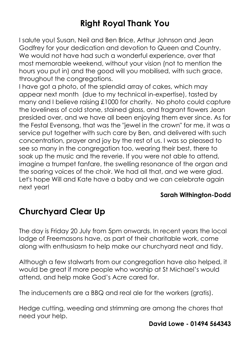# **Right Royal Thank You**

I salute you! Susan, Neil and Ben Brice, Arthur Johnson and Jean Godfrey for your dedication and devotion to Queen and Country. We would not have had such a wonderful experience, over that most memorable weekend, without your vision (not to mention the hours you put in) and the good will you mobilised, with such grace, throughout the congregations.

I have got a photo, of the splendid array of cakes, which may appear next month (due to my technical in-expertise), tasted by many and I believe raising £1000 for charity. No photo could capture the loveliness of cold stone, stained glass, and fragrant flowers Jean presided over, and we have all been enjoying them ever since. As for the Festal Evensong, that was the "jewel in the crown" for me, it was a service put together with such care by Ben, and delivered with such concentration, prayer and joy by the rest of us. I was so pleased to see so many in the congregation too, wearing their best, there to soak up the music and the reverie. If you were not able to attend, imagine a trumpet fanfare, the swelling resonance of the organ and the soaring voices of the choir. We had all that, and we were glad. Let's hope Will and Kate have a baby and we can celebrate again next year!

#### **Sarah Withington-Dodd**

### **Churchyard Clear Up**

The day is Friday 20 July from 5pm onwards. In recent years the local lodge of Freemasons have, as part of their charitable work, come along with enthusiasm to help make our churchyard neat and tidy.

Although a few stalwarts from our congregation have also helped, it would be great if more people who worship at St Michael's would attend, and help make God's Acre cared for.

The inducements are a BBQ and real ale for the workers (gratis).

Hedge cutting, weeding and strimming are among the chores that need your help.

#### **David Lowe - 01494 564343**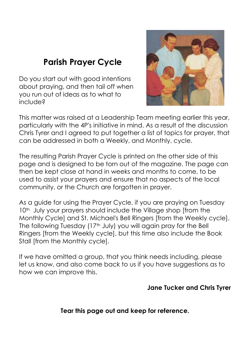# **Parish Prayer Cycle**

Do you start out with good intentions about praying, and then tail off when you run out of ideas as to what to include?



This matter was raised at a Leadership Team meeting earlier this year, particularly with the 4P's initiative in mind. As a result of the discussion Chris Tyrer and I agreed to put together a list of topics for prayer, that can be addressed in both a Weekly, and Monthly, cycle.

The resulting Parish Prayer Cycle is printed on the other side of this page and is designed to be torn out of the magazine. The page can then be kept close at hand in weeks and months to come, to be used to assist your prayers and ensure that no aspects of the local community, or the Church are forgotten in prayer.

As a guide for using the Prayer Cycle, if you are praying on Tuesday 10<sup>th</sup> July your prayers should include the Village shop [from the Monthly Cycle] and St. Michael's Bell Ringers [from the Weekly cycle]. The following Tuesday (17<sup>th</sup> July) you will again pray for the Bell Ringers [from the Weekly cycle], but this time also include the Book Stall [from the Monthly cycle].

If we have omitted a group, that you think needs including, please let us know, and also come back to us if you have suggestions as to how we can improve this.

#### **Jane Tucker and Chris Tyrer**

#### **Tear this page out and keep for reference.**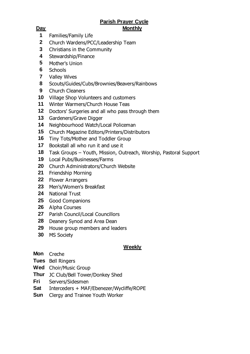#### **Parish Prayer Cycle Day Monthly**

- Families/Family Life
- Church Wardens/PCC/Leadership Team
- Christians in the Community
- Stewardship/Finance
- Mother's Union
- Schools
- Valley Wives
- Scouts/Guides/Cubs/Brownies/Beavers/Rainbows
- Church Cleaners
- Village Shop Volunteers and customers
- Winter Warmers/Church House Teas
- Doctors' Surgeries and all who pass through them
- Gardeners/Grave Digger
- Neighbourhood Watch/Local Policeman
- Church Magazine Editors/Printers/Distributors
- Tiny Tots/Mother and Toddler Group
- Bookstall all who run it and use it
- Task Groups Youth, Mission, Outreach, Worship, Pastoral Support
- Local Pubs/Businesses/Farms
- Church Administrators/Church Website
- Friendship Morning
- Flower Arrangers
- Men's/Women's Breakfast
- National Trust
- Good Companions
- Alpha Courses
- Parish Council/Local Councillors
- Deanery Synod and Area Dean
- House group members and leaders
- MS Society

#### **Weekly**

- **Mon** Creche
- **Tues** Bell Ringers
- **Wed** Choir/Music Group
- **Thur** JC Club/Bell Tower/Donkey Shed
- **Fri** Servers/Sidesmen
- **Sat** Interceders + MAF/Ebenezer/Wycliffe/ROPE
- **Sun** Clergy and Trainee Youth Worker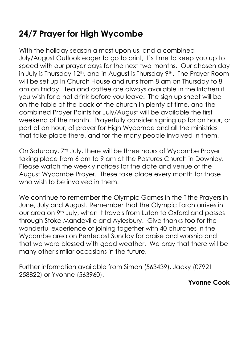# **24/7 Prayer for High Wycombe**

With the holiday season almost upon us, and a combined July/August Outlook eager to go to print, it's time to keep you up to speed with our prayer days for the next two months. Our chosen day in July is Thursday 12<sup>th</sup>, and in August is Thursday 9<sup>th</sup>. The Prayer Room will be set up in Church House and runs from 8 am on Thursday to 8 am on Friday. Tea and coffee are always available in the kitchen if you wish for a hot drink before you leave. The sign up sheet will be on the table at the back of the church in plenty of time, and the combined Prayer Points for July/August will be available the first weekend of the month. Prayerfully consider signing up for an hour, or part of an hour, of prayer for High Wycombe and all the ministries that take place there, and for the many people involved in them.

On Saturday, 7<sup>th</sup> July, there will be three hours of Wycombe Prayer taking place from 6 am to 9 am at the Pastures Church in Downley. Please watch the weekly notices for the date and venue of the August Wycombe Prayer. These take place every month for those who wish to be involved in them.

We continue to remember the Olympic Games in the Tithe Prayers in June, July and August. Remember that the Olympic Torch arrives in our area on 9<sup>th</sup> July, when it travels from Luton to Oxford and passes through Stoke Mandeville and Aylesbury. Give thanks too for the wonderful experience of joining together with 40 churches in the Wycombe area on Pentecost Sunday for praise and worship and that we were blessed with good weather. We pray that there will be many other similar occasions in the future.

Further information available from Simon (563439), Jacky (07921 258822) or Yvonne (563960).

#### **Yvonne Cook**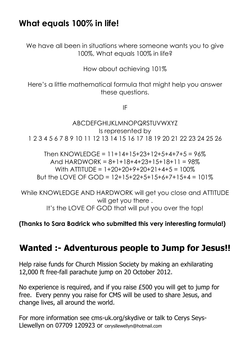### **What equals 100% in life!**

We have all been in situations where someone wants you to give 100%, What equals 100% in life?

How about achieving 101%

Here's a little mathematical formula that might help you answer these questions.

IF

```
ABCDEFGHIJKLMNOPQRSTUVWXYZ
                      Is represented by
1 2 3 4 5 6 7 8 9 10 11 12 13 14 15 16 17 18 19 20 21 22 23 24 25 26
```
Then KNOWLEDGE =  $11+14+15+23+12+5+4+7+5 = 96\%$ And HARDWORK =  $8+1+18+4+23+15+18+11 = 98\%$ With ATTITUDF =  $1+20+20+9+20+21+4+5 = 100\%$ But the LOVE OF GOD =  $12+15+22+5+15+6+7+15+4 = 101\%$ 

While KNOWLEDGE AND HARDWORK will get you close and ATTITUDE will get you there. It's the LOVE OF GOD that will put you over the top!

#### **(Thanks to Sara Badrick who submitted this very interesting formula!)**

### **Wanted :- Adventurous people to Jump for Jesus!!**

Help raise funds for Church Mission Society by making an exhilarating 12,000 ft free-fall parachute jump on 20 October 2012.

No experience is required, and if you raise £500 you will get to jump for free. Every penny you raise for CMS will be used to share Jesus, and change lives, all around the world.

For more information see cms-uk.org/skydive or talk to Cerys Seys-Llewellyn on 07709 120923 or [cerysllewellyn@hotmail.com](mailto:cersylleewelly@hotmail.com)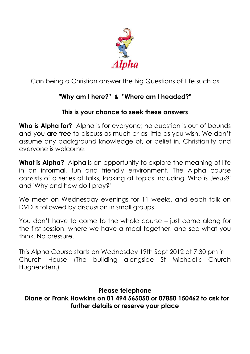

Can being a Christian answer the Big Questions of Life such as

### **"Why am I here?" & "Where am I headed?"**

### **This is your chance to seek these answers**

**Who is Alpha for?** Alpha is for everyone; no question is out of bounds and you are free to discuss as much or as little as you wish. We don't assume any background knowledge of, or belief in, Christianity and everyone is welcome.

**What is Alpha?** Alpha is an opportunity to explore the meaning of life in an informal, fun and friendly environment. The Alpha course consists of a series of talks, looking at topics including 'Who is Jesus?' and 'Why and how do I pray?'

We meet on Wednesday evenings for 11 weeks, and each talk on DVD is followed by discussion in small groups.

You don't have to come to the whole course – just come along for the first session, where we have a meal together, and see what you think. No pressure.

This Alpha Course starts on Wednesday 19th Sept 2012 at 7.30 pm in Church House (The building alongside St Michael's Church Hughenden.)

**Please telephone Diane or Frank Hawkins on 01 494 565050 or 07850 150462 to ask for further details or reserve your place**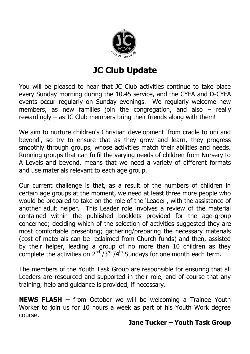

# **JC Club Update**

You will be pleased to hear that JC Club activities continue to take place every Sunday morning during the 10.45 service, and the CYFA and D-CYFA events occur regularly on Sunday evenings. We regularly welcome new members, as new families join the congregation, and also – really rewardingly – as JC Club members bring their friends along with them!

We aim to nurture children's Christian development 'from cradle to uni and beyond', so try to ensure that as they grow and learn, they progress smoothly through groups, whose activities match their abilities and needs. Running groups that can fulfil the varying needs of children from Nursery to A Levels and beyond, means that we need a variety of different formats and use materials relevant to each age group.

Our current challenge is that, as a result of the numbers of children in certain age groups at the moment, we need at least three more people who would be prepared to take on the role of the 'Leader', with the assistance of another adult helper. This Leader role involves a review of the material contained within the published booklets provided for the age-group concerned; deciding which of the selection of activities suggested they are most comfortable presenting; gathering/preparing the necessary materials (cost of materials can be reclaimed from Church funds) and then, assisted by their helper, leading a group of no more than 10 children as they complete the activities on  $2^{nd}$  /3<sup>rd</sup> /4<sup>th</sup> Sundays for one month each term.

The members of the Youth Task Group are responsible for ensuring that all Leaders are resourced and supported in their role, and of course that any training, help and guidance is provided, if necessary.

**NEWS FLASH –** from October we will be welcoming a Trainee Youth Worker to join us for 10 hours a week as part of his Youth Work degree course.

#### **Jane Tucker – Youth Task Group**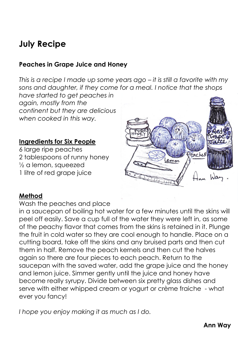### **July Recipe**

#### **Peaches in Grape Juice and Honey**

*This is a recipe I made up some years ago – it is still a favorite with my sons and daughter, if they come for a meal. I notice that the shops* 

*have started to get peaches in again, mostly from the continent but they are delicious when cooked in this way.*

#### **Ingredients for Six People**

6 large ripe peaches 2 tablespoons of runny honey ½ a lemon, squeezed 1 litre of red grape juice



#### **Method**

Wash the peaches and place

in a saucepan of boiling hot water for a few minutes until the skins will peel off easily. Save a cup full of the water they were left in, as some of the peachy flavor that comes from the skins is retained in it. Plunge the fruit in cold water so they are cool enough to handle. Place on a cutting board, take off the skins and any bruised parts and then cut them in half. Remove the peach kernels and then cut the halves again so there are four pieces to each peach. Return to the saucepan with the saved water, add the grape juice and the honey and lemon juice. Simmer gently until the juice and honey have become really syrupy. Divide between six pretty glass dishes and serve with either whipped cream or yogurt or crème fraiche - what ever you fancy!

*I hope you enjoy making it as much as I do.*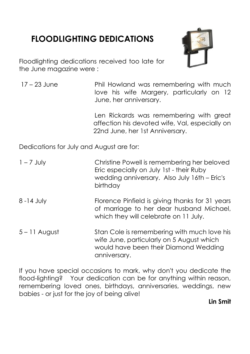# **FLOODLIGHTING DEDICATIONS**



Floodlighting dedications received too late for the June magazine were :

17 – 23 June Phil Howland was remembering with much love his wife Margery, particularly on 12 June, her anniversary.

> Len Rickards was remembering with great affection his devoted wife, Val, especially on 22nd June, her 1st Anniversary.

Dedications for July and August are for:

| $1 - 7$ July    | Christine Powell is remembering her beloved<br>Eric especially on July 1st - their Ruby<br>wedding anniversary. Also July 16th - Eric's<br>birthday |
|-----------------|-----------------------------------------------------------------------------------------------------------------------------------------------------|
| $8 - 14$ July   | Florence Pinfield is giving thanks for 31 years<br>of marriage to her dear husband Michael,<br>which they will celebrate on 11 July.                |
| $5 - 11$ August | Stan Cole is remembering with much love his<br>wife June, particularly on 5 August which<br>would have been their Diamond Wedding<br>anniversary.   |

If you have special occasions to mark, why don't you dedicate the flood-lighting? Your dedication can be for anything within reason, remembering loved ones, birthdays, anniversaries, weddings, new babies - or just for the joy of being alive!

#### **Lin Smit**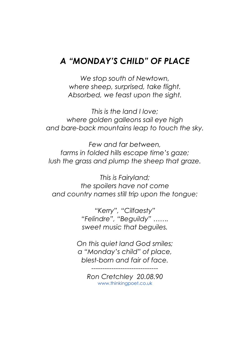### *A "MONDAY'S CHILD" OF PLACE*

*We stop south of Newtown, where sheep, surprised, take flight. Absorbed, we feast upon the sight.*

*This is the land I love; where golden galleons sail eye high and bare-back mountains leap to touch the sky.*

*Few and far between, farms in folded hills escape time's gaze; lush the grass and plump the sheep that graze.*

*This is Fairyland; the spoilers have not come and country names still trip upon the tongue:*

> *"Kerry", "Cilfaesty" "Felindre", "Beguildy" ……. sweet music that beguiles.*

*On this quiet land God smiles; a "Monday's child" of place, blest-born and fair of face.*

> *Ron Cretchley 20.08.90* [www.thinkingpoet.co.uk](http://www.thinkingpoet.co.uk/)

*------------------------------*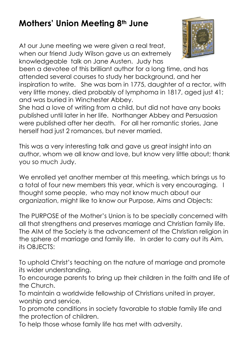# **Mothers' Union Meeting 8th June**

At our June meeting we were given a real treat, when our friend Judy Wilson gave us an extremely knowledgeable talk on Jane Austen. Judy has



been a devotee of this brilliant author for a long time, and has attended several courses to study her background, and her inspiration to write. She was born in 1775, daughter of a rector, with very little money, died probably of lymphoma in 1817, aged just 41; and was buried in Winchester Abbey.

She had a love of writing from a child, but did not have any books published until later in her life. Northanger Abbey and Persuasion were published after her death. For all her romantic stories, Jane herself had just 2 romances, but never married.

This was a very interesting talk and gave us great insight into an author, whom we all know and love, but know very little about; thank you so much Judy.

We enrolled yet another member at this meeting, which brings us to a total of four new members this year, which is very encouraging. I thought some people, who may not know much about our organization, might like to know our Purpose, Aims and Objects:

The PURPOSE of the Mother's Union is to be specially concerned with all that strengthens and preserves marriage and Christian family life. The AIM of the Society is the advancement of the Christian religion in the sphere of marriage and family life. In order to carry out its Aim, its OBJECTS:

To uphold Christ's teaching on the nature of marriage and promote its wider understanding.

To encourage parents to bring up their children in the faith and life of the Church.

To maintain a worldwide fellowship of Christians united in prayer, worship and service.

To promote conditions in society favorable to stable family life and the protection of children.

To help those whose family life has met with adversity.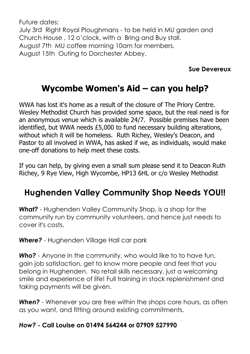Future dates: July 3rd Right Royal Ploughmans - to be held in MU garden and Church House , 12 o'clock, with a Bring and Buy stall. August 7th MU coffee morning 10am for members. August 15th Outing to Dorchester Abbey.

#### **Sue Devereux**

# **Wycombe Women's Aid – can you help?**

WWA has lost it's home as a result of the closure of The Priory Centre. Wesley Methodist Church has provided some space, but the real need is for an anonymous venue which is available 24/7. Possible premises have been identified, but WWA needs £5,000 to fund necessary building alterations, without which it will be homeless. Ruth Richey, Wesley's Deacon, and Pastor to all involved in WWA, has asked if we, as individuals, would make one-off donations to help meet these costs.

If you can help, by giving even a small sum please send it to Deacon Ruth Richey, 9 Rye View, High Wycombe, HP13 6HL or c/o Wesley Methodist

## **Hughenden Valley Community Shop Needs YOU!!**

*What?* - Hughenden Valley Community Shop, is a shop for the community run by community volunteers, and hence just needs to cover it's costs.

*Where?* - Hughenden Village Hall car park

*Who?* - Anyone in the community, who would like to to have fun, gain job satisfaction, get to know more people and feel that you belong in Hughenden. No retail skills necessary, just a welcoming smile and experience of life! Full training in stock replenishment and taking payments will be given.

**When?** - Whenever you are free within the shops core hours, as often as you want, and fitting around existing commitments.

### *How?* **- Call Louise on 01494 564244 or 07909 527990**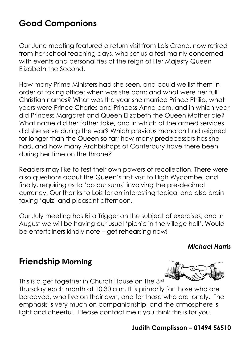# **Good Companions**

Our June meeting featured a return visit from Lois Crane, now retired from her school teaching days, who set us a test mainly concerned with events and personalities of the reign of Her Majesty Queen Elizabeth the Second.

How many Prime Ministers had she seen, and could we list them in order of taking office; when was she born; and what were her full Christian names? What was the year she married Prince Philip, what years were Prince Charles and Princess Anne born, and in which year did Princess Margaret and Queen Elizabeth the Queen Mother die? What name did her father take, and in which of the armed services did she serve during the war? Which previous monarch had reigned for longer than the Queen so far; how many predecessors has she had, and how many Archbishops of Canterbury have there been during her time on the throne?

Readers may like to test their own powers of recollection. There were also questions about the Queen's first visit to High Wycombe, and finally, requiring us to 'do our sums' involving the pre-decimal currency. Our thanks to Lois for an interesting topical and also brain taxing 'quiz' and pleasant afternoon.

Our July meeting has Rita Trigger on the subject of exercises, and in August we will be having our usual 'picnic in the village hall'. Would be entertainers kindly note – get rehearsing now!

#### *Michael Harris*

### **Friendship Morning**

This is a get together in Church House on the 3rd

Thursday each month at 10.30 a.m. It is primarily for those who are bereaved, who live on their own, and for those who are lonely. The emphasis is very much on companionship, and the atmosphere is light and cheerful. Please contact me if you think this is for you.

### **Judith Camplisson – 01494 56510**

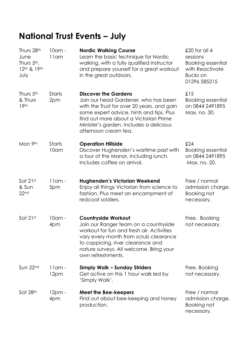# **National Trust Events – July**

| Thurs 28th<br>June<br>Thurs 5 <sup>th</sup> ,<br>12th & 19th<br>July | $10$ am -<br>$11$ am  | <b>Nordic Walking Course</b><br>Learn the basic technique for Nordic<br>walking, with a fully qualified instructor<br>and prepare yourself for a great workout<br>in the great outdoors.                                                                                  | £20 for all 4<br>sessions<br><b>Booking essential</b><br>with Reactivate<br><b>Bucks</b> on<br>01296 585215 |
|----------------------------------------------------------------------|-----------------------|---------------------------------------------------------------------------------------------------------------------------------------------------------------------------------------------------------------------------------------------------------------------------|-------------------------------------------------------------------------------------------------------------|
| Thurs 5 <sup>th</sup><br>& Thurs<br>19 <sup>th</sup>                 | <b>Starts</b><br>2pm  | <b>Discover the Gardens</b><br>Join our head Gardener, who has been<br>with the Trust for over 20 years, and gain<br>some expert advice, hints and tips. Plus<br>find out more about a Victorian Prime<br>Minister's garden. Includes a delicious<br>afternoon cream tea. | £15<br><b>Booking essential</b><br>on 0844 249 1895<br>Max. no. 30.                                         |
| Mon 9th                                                              | <b>Starts</b><br>10am | <b>Operation Hillside</b><br>Discover Hughenden's wartime past with<br>a tour of the Manor, including lunch.<br>Includes coffee on arrival.                                                                                                                               | £24<br><b>Booking essential</b><br>on 0844 249 1895<br>Max. no. 20.                                         |
| Sat 21st<br>& Sun<br>22 <sub>nd</sub>                                | $11$ am -<br>5pm      | <b>Hughenden's Victorian Weekend</b><br>Enjoy all things Victorian from science to<br>fashion. Plus meet an encampment of<br>redcoat soldiers.                                                                                                                            | Free / normal<br>admission charge.<br>Booking not<br>necessary.                                             |
| Sat 21st                                                             | 10am -<br>4pm         | <b>Countryside Workout</b><br>Join our Ranger team on a countryside<br>workout for fun and fresh air. Activities<br>vary every month from scrub clearance<br>to coppicing, river clearance and<br>nature surveys. All welcome. Bring your<br>own refreshments.            | Free. Booking<br>not necessary.                                                                             |
| Sun 22nd                                                             | $11$ am -<br>12pm     | <b>Simply Walk - Sunday Striders</b><br>Get active on this 1 hour walk led by<br>'Simply Walk'.                                                                                                                                                                           | Free. Booking<br>not necessary.                                                                             |
| Sat 28th                                                             | 12pm -<br>4pm         | <b>Meet the Bee-keepers</b><br>Find out about bee-keeping and honey<br>production.                                                                                                                                                                                        | Free / normal<br>admission charge.<br>Booking not<br>necessary.                                             |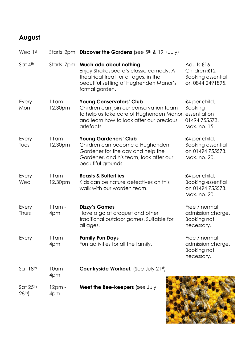### **August**

| Wed 1st                      |                      | Starts 2pm Discover the Gardens (see 5th & 19th July)                                                                                                                                         |                                                                               |
|------------------------------|----------------------|-----------------------------------------------------------------------------------------------------------------------------------------------------------------------------------------------|-------------------------------------------------------------------------------|
| Sat 4th                      | Starts 7pm           | Much ado about nothing<br>Enjoy Shakespeare's classic comedy. A<br>theatrical treat for all ages, in the<br>beautiful setting of Hughenden Manor's<br>formal garden.                          | Adults £16<br>Children £12<br><b>Booking essential</b><br>on 0844 2491895.    |
| Every<br>Mon                 | $11$ am -<br>12.30pm | <b>Young Conservators' Club</b><br>Children can join our conservation team<br>to help us take care of Hughenden Manor, essential on<br>and learn how to look after our precious<br>artefacts. | £4 per child.<br><b>Booking</b><br>01494 755573.<br>Max. no. 15.              |
| Every<br>Tues                | $11$ am -<br>12.30pm | <b>Young Gardeners' Club</b><br>Children can become a Hughenden<br>Gardener for the day and help the<br>Gardener, and his team, look after our<br>beautiful grounds.                          | £4 per child.<br><b>Booking essential</b><br>on 01494 755573.<br>Max. no. 20. |
| Every<br>Wed                 | $11$ am -<br>12.30pm | <b>Beasts &amp; Butterflies</b><br>Kids can be nature detectives on this<br>walk with our warden team.                                                                                        | £4 per child.<br><b>Booking essential</b><br>on 01494 755573.<br>Max. no. 20. |
| Every<br>Thurs               | $11$ am -<br>4pm     | <b>Dizzy's Games</b><br>Have a go at croquet and other<br>traditional outdoor games. Suitable for<br>all ages.                                                                                | Free / normal<br>admission charge.<br><b>Booking not</b><br>necessary.        |
| Every                        | 11 am -<br>4pm       | <b>Family Fun Days</b><br>Fun activities for all the family.                                                                                                                                  | Free / normal<br>admission charge.<br>Booking not<br>necessary.               |
| Sat 18th                     | 10am -<br>4pm        | Countryside Workout. (See July 21st)                                                                                                                                                          |                                                                               |
| Sat 25th<br>28 <sup>th</sup> | $12pm -$<br>4pm      | Meet the Bee-keepers (see July                                                                                                                                                                |                                                                               |

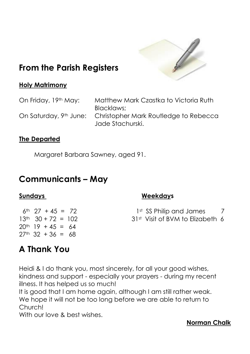

# **From the Parish Registers**

#### **Holy Matrimony**

On Friday, 19<sup>th</sup> May: Matthew Mark Czastka to Victoria Ruth Blacklaws; On Saturday, 9th June: Christopher Mark Routledge to Rebecca Jade Stachurski.

#### **The Departed**

Margaret Barbara Sawney, aged 91.

### **Communicants – May**

#### **Sundays Weekdays**

1st SS Philip and James 7 31<sup>st</sup> Visit of BVM to Elizabeth 6

### $13<sup>th</sup>$  30 + 72 = 102  $20^{th}$  19 + 45 = 64  $27<sup>th</sup>$  32 + 36 = 68

 $6th$  27 + 45 = 72

## **A Thank You**

Heidi & I do thank you, most sincerely, for all your good wishes, kindness and support - especially your prayers - during my recent illness. It has helped us so much!

It is good that I am home again, although I am still rather weak. We hope it will not be too long before we are able to return to Church!

With our love & best wishes.

#### **Norman Chalk**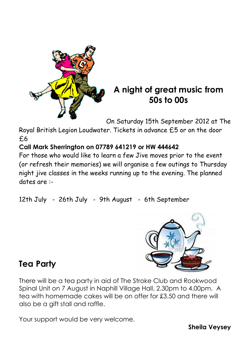

### **A night of great music from 50s to 00s**

On Saturday 15th September 2012 at The

Royal British Legion Loudwater. Tickets in advance £5 or on the door £6

### **Call Mark Sherrington on 07789 641219 or HW 444642**

For those who would like to learn a few Jive moves prior to the event (or refresh their memories) we will organise a few outings to Thursday night jive classes in the weeks running up to the evening. The planned dates are :-

12th July - 26th July - 9th August - 6th September



# **Tea Party**

There will be a tea party in aid of The Stroke Club and Rookwood Spinal Unit on 7 August in Naphill Village Hall, 2.30pm to 4.00pm. A tea with homemade cakes will be on offer for £3.50 and there will also be a gift stall and raffle.

Your support would be very welcome.

**Sheila Veysey**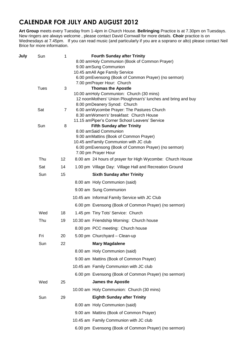### **CALENDAR FOR JULY AND AUGUST 2012**

**Art Group** meets every Tuesday from 1-4pm in Church House. **Bellringing** Practice is at 7.30pm on Tuesdays. New ringers are always welcome , please contact David Cornwall for more details. **Choir** practice is on Wednesdays at 7.45pm. If you can read music (and particularly if you are a soprano or alto) please contact Neil Brice for more information.

| Sun | 1           | <b>Fourth Sunday after Trinity</b>                           |                                                                                                                                                                                                                                                                                                                                                                                                                                                                                                 |
|-----|-------------|--------------------------------------------------------------|-------------------------------------------------------------------------------------------------------------------------------------------------------------------------------------------------------------------------------------------------------------------------------------------------------------------------------------------------------------------------------------------------------------------------------------------------------------------------------------------------|
|     |             | 8.00 amHoly Communion (Book of Common Prayer)                |                                                                                                                                                                                                                                                                                                                                                                                                                                                                                                 |
|     |             |                                                              |                                                                                                                                                                                                                                                                                                                                                                                                                                                                                                 |
|     |             |                                                              |                                                                                                                                                                                                                                                                                                                                                                                                                                                                                                 |
|     |             |                                                              |                                                                                                                                                                                                                                                                                                                                                                                                                                                                                                 |
|     |             |                                                              |                                                                                                                                                                                                                                                                                                                                                                                                                                                                                                 |
|     |             |                                                              |                                                                                                                                                                                                                                                                                                                                                                                                                                                                                                 |
|     |             | 12 noonMothers' Union Ploughman's' lunches and bring and buy |                                                                                                                                                                                                                                                                                                                                                                                                                                                                                                 |
|     |             | 8.00 pmDeanery Synod: Church                                 |                                                                                                                                                                                                                                                                                                                                                                                                                                                                                                 |
| Sat | 7           |                                                              |                                                                                                                                                                                                                                                                                                                                                                                                                                                                                                 |
|     |             |                                                              |                                                                                                                                                                                                                                                                                                                                                                                                                                                                                                 |
|     |             |                                                              |                                                                                                                                                                                                                                                                                                                                                                                                                                                                                                 |
|     |             |                                                              |                                                                                                                                                                                                                                                                                                                                                                                                                                                                                                 |
|     |             |                                                              |                                                                                                                                                                                                                                                                                                                                                                                                                                                                                                 |
|     |             | 10.45 amFamily Communion with JC club                        |                                                                                                                                                                                                                                                                                                                                                                                                                                                                                                 |
|     |             | 6.00 pmEvensong (Book of Common Prayer) (no sermon)          |                                                                                                                                                                                                                                                                                                                                                                                                                                                                                                 |
|     |             |                                                              |                                                                                                                                                                                                                                                                                                                                                                                                                                                                                                 |
| Thu | 12          | 8.00 am 24 hours of prayer for High Wycombe: Church House    |                                                                                                                                                                                                                                                                                                                                                                                                                                                                                                 |
| Sat | 14          | 1.00 pm Village Day: Village Hall and Recreation Ground      |                                                                                                                                                                                                                                                                                                                                                                                                                                                                                                 |
| Sun | 15          | <b>Sixth Sunday after Trinity</b>                            |                                                                                                                                                                                                                                                                                                                                                                                                                                                                                                 |
|     |             | 8.00 am Holy Communion (said)                                |                                                                                                                                                                                                                                                                                                                                                                                                                                                                                                 |
|     |             | 9.00 am Sung Communion                                       |                                                                                                                                                                                                                                                                                                                                                                                                                                                                                                 |
|     |             | 10.45 am Informal Family Service with JC Club                |                                                                                                                                                                                                                                                                                                                                                                                                                                                                                                 |
|     |             | 6.00 pm Evensong (Book of Common Prayer) (no sermon)         |                                                                                                                                                                                                                                                                                                                                                                                                                                                                                                 |
| Wed | 18          | 1.45 pm Tiny Tots' Service: Church                           |                                                                                                                                                                                                                                                                                                                                                                                                                                                                                                 |
| Thu | 19          | 10.30 am Friendship Morning: Church house                    |                                                                                                                                                                                                                                                                                                                                                                                                                                                                                                 |
|     |             | 8.00 pm PCC meeting: Church house                            |                                                                                                                                                                                                                                                                                                                                                                                                                                                                                                 |
| Fri | 20          | 5.00 pm Churchyard - Clean-up                                |                                                                                                                                                                                                                                                                                                                                                                                                                                                                                                 |
| Sun | 22          | <b>Mary Magdalene</b>                                        |                                                                                                                                                                                                                                                                                                                                                                                                                                                                                                 |
|     |             | 8.00 am Holy Communion (said)                                |                                                                                                                                                                                                                                                                                                                                                                                                                                                                                                 |
|     |             | 9.00 am Mattins (Book of Common Prayer)                      |                                                                                                                                                                                                                                                                                                                                                                                                                                                                                                 |
|     |             | 10.45 am Family Communion with JC club                       |                                                                                                                                                                                                                                                                                                                                                                                                                                                                                                 |
|     |             | 6.00 pm Evensong (Book of Common Prayer) (no sermon)         |                                                                                                                                                                                                                                                                                                                                                                                                                                                                                                 |
| Wed | 25          | <b>James the Apostle</b>                                     |                                                                                                                                                                                                                                                                                                                                                                                                                                                                                                 |
|     |             | 10.00 am Holy Communion: Church (30 mins)                    |                                                                                                                                                                                                                                                                                                                                                                                                                                                                                                 |
| Sun | 29          | <b>Eighth Sunday after Trinity</b>                           |                                                                                                                                                                                                                                                                                                                                                                                                                                                                                                 |
|     |             | 8.00 am Holy Communion (said)                                |                                                                                                                                                                                                                                                                                                                                                                                                                                                                                                 |
|     |             | 9.00 am Mattins (Book of Common Prayer)                      |                                                                                                                                                                                                                                                                                                                                                                                                                                                                                                 |
|     |             | 10.45 am Family Communion with JC club                       |                                                                                                                                                                                                                                                                                                                                                                                                                                                                                                 |
|     |             | 6.00 pm Evensong (Book of Common Prayer) (no sermon)         |                                                                                                                                                                                                                                                                                                                                                                                                                                                                                                 |
|     | Tues<br>Sun | 3<br>8                                                       | 9.00 amSung Communion<br>10.45 amAll Age Family Service<br>6.00 pmEvensong (Book of Common Prayer) (no sermon)<br>7.00 pmPrayer Hour: Church<br><b>Thomas the Apostle</b><br>10.00 amHoly Communion: Church (30 mins)<br>6.00 amWycombe Prayer: The Pastures Church<br>8.30 amWomen's' breakfast: Church House<br>11.15 amPiper's Corner School Leavers' Service<br><b>Fifth Sunday after Trinity</b><br>8.00 amSaid Communion<br>9.00 amMattins (Book of Common Prayer)<br>7.00 pm Prayer Hour |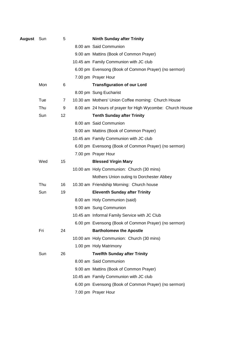| <b>August</b> Sun |     | 5  | <b>Ninth Sunday after Trinity</b>                         |
|-------------------|-----|----|-----------------------------------------------------------|
|                   |     |    | 8.00 am Said Communion                                    |
|                   |     |    | 9.00 am Mattins (Book of Common Prayer)                   |
|                   |     |    | 10.45 am Family Communion with JC club                    |
|                   |     |    | 6.00 pm Evensong (Book of Common Prayer) (no sermon)      |
|                   |     |    | 7.00 pm Prayer Hour                                       |
|                   | Mon | 6  | <b>Transfiguration of our Lord</b>                        |
|                   |     |    | 8.00 pm Sung Eucharist                                    |
|                   | Tue | 7  | 10.30 am Mothers' Union Coffee morning: Church House      |
|                   | Thu | 9  | 8.00 am 24 hours of prayer for High Wycombe: Church House |
|                   | Sun | 12 | <b>Tenth Sunday after Trinity</b>                         |
|                   |     |    | 8.00 am Said Communion                                    |
|                   |     |    | 9.00 am Mattins (Book of Common Prayer)                   |
|                   |     |    | 10.45 am Family Communion with JC club                    |
|                   |     |    | 6.00 pm Evensong (Book of Common Prayer) (no sermon)      |
|                   |     |    | 7.00 pm Prayer Hour                                       |
|                   | Wed | 15 | <b>Blessed Virgin Mary</b>                                |
|                   |     |    | 10.00 am Holy Communion: Church (30 mins)                 |
|                   |     |    | Mothers Union outing to Dorchester Abbey                  |
|                   | Thu | 16 | 10.30 am Friendship Morning: Church house                 |
|                   | Sun | 19 | <b>Eleventh Sunday after Trinity</b>                      |
|                   |     |    | 8.00 am Holy Communion (said)                             |
|                   |     |    | 9.00 am Sung Communion                                    |
|                   |     |    | 10.45 am Informal Family Service with JC Club             |
|                   |     |    | 6.00 pm Evensong (Book of Common Prayer) (no sermon)      |
|                   | Fri | 24 | <b>Bartholomew the Apostle</b>                            |
|                   |     |    | 10.00 am Holy Communion: Church (30 mins)                 |
|                   |     |    | 1.00 pm Holy Matrimony                                    |
|                   | Sun | 26 | <b>Twelfth Sunday after Trinity</b>                       |
|                   |     |    | 8.00 am Said Communion                                    |
|                   |     |    | 9.00 am Mattins (Book of Common Prayer)                   |
|                   |     |    | 10.45 am Family Communion with JC club                    |
|                   |     |    | 6.00 pm Evensong (Book of Common Prayer) (no sermon)      |
|                   |     |    | 7.00 pm Prayer Hour                                       |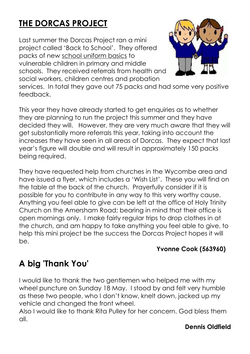# **THE DORCAS PROJECT**

Last summer the Dorcas Project ran a mini project called 'Back to School'. They offered packs of new school uniform basics to vulnerable children in primary and middle schools. They received referrals from health and social workers, children centres and probation



services. In total they gave out 75 packs and had some very positive feedback.

This year they have already started to get enquiries as to whether they are planning to run the project this summer and they have decided they will. However, they are very much aware that they will get substantially more referrals this year, taking into account the increases they have seen in all areas of Dorcas. They expect that last year's figure will double and will result in approximately 150 packs being required.

They have requested help from churches in the Wycombe area and have issued a flyer, which includes a 'Wish List'. These you will find on the table at the back of the church. Prayerfully consider if it is possible for you to contribute in any way to this very worthy cause. Anything you feel able to give can be left at the office of Holy Trinity Church on the Amersham Road; bearing in mind that their office is open mornings only. I make fairly regular trips to drop clothes in at the church, and am happy to take anything you feel able to give, to help this mini project be the success the Dorcas Project hopes it will be.

#### **Yvonne Cook (563960)**

# **A big 'Thank You'**

I would like to thank the two gentlemen who helped me with my wheel puncture on Sunday 18 May. I stood by and felt very humble as these two people, who I don't know, knelt down, jacked up my vehicle and changed the front wheel.

Also I would like to thank Rita Pulley for her concern. God bless them all.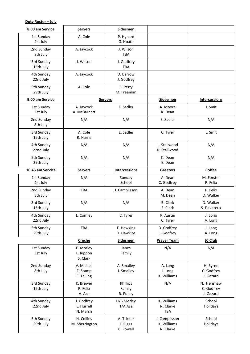#### **Duty Roster – July**

| 8.00 am Service         | <b>Servers</b>                       | <b>Sidesmen</b>                     |                                           |                                       |
|-------------------------|--------------------------------------|-------------------------------------|-------------------------------------------|---------------------------------------|
| 1st Sunday<br>1st July  | A. Cole                              | P. Hynard<br>G. Hoath               |                                           |                                       |
| 2nd Sunday<br>8th July  | A. Jaycock                           | J. Wilson<br>TBA                    |                                           |                                       |
| 3rd Sunday<br>15th July | J. Wilson                            | J. Godfrey<br><b>TBA</b>            |                                           |                                       |
| 4th Sunday<br>22nd July | A. Jaycock                           | D. Barrow<br>J. Godfrey             |                                           |                                       |
| 5th Sunday<br>29th July | A. Cole                              | R. Petty<br>M. Freeman              |                                           |                                       |
| 9.00 am Service         |                                      | <b>Servers</b>                      | <b>Sidesmen</b>                           | <b>Intercessions</b>                  |
| 1st Sunday<br>1st July  | A. Jaycock<br>A. McBarnett           | E. Sadler                           | A. Moore<br>K. Dean                       | J. Smit                               |
| 2nd Sunday<br>8th July  | N/A                                  | N/A                                 | E. Sadler                                 | N/A                                   |
| 3rd Sunday<br>15th July | A. Cole<br>R. Harris                 | E. Sadler                           | C. Tyrer                                  | L. Smit                               |
| 4th Sunday<br>22nd July | N/A                                  | N/A                                 | L. Stallwood<br>R. Stallwood              | N/A                                   |
| 5th Sunday<br>29th July | N/A                                  | N/A                                 | K. Dean<br>E. Dean                        | N/A                                   |
| 10.45 am Service        | <b>Servers</b>                       | <b>Intercessions</b>                | <b>Greeters</b>                           | <b>Coffee</b>                         |
| 1st Sunday<br>1st July  | N/A                                  | Sunday<br>School                    | A. Dean<br>C. Godfrey                     | M. Forster<br>P. Felix                |
| 2nd Sunday<br>8th July  | <b>TBA</b>                           | J. Camplisson                       | A. Dean<br>M. Dean                        | P. Felix<br>D. Walker                 |
| 3rd Sunday<br>15th July | N/A                                  | N/A                                 | <b>B.</b> Clark<br>S. Clark               | D. Walker<br>S. Devereux              |
| 4th Sunday<br>22nd July | L. Comley                            | C. Tyrer                            | P. Austin<br>C. Tyrer                     | J. Long<br>A. Long                    |
| 5th Sunday<br>29th July | TBA                                  | F. Hawkins<br>D. Hawkins            | D. Godfrey<br>J. Godfrey                  | J. Long<br>A. Long                    |
|                         | <b>Crèche</b>                        | <b>Sidesmen</b>                     | <b>Prayer Team</b>                        | JC Club                               |
| 1st Sunday<br>1st July  | E. Morley<br>L. Rippon<br>S. Clark   | Janes<br>Family                     | N/A                                       | N/A                                   |
| 2nd Sunday<br>8th July  | V. Michell<br>Z. Stamp<br>E. Telling | A. Smalley<br>J. Smalley            | A. Long<br>J. Long<br>K. Williams         | H. Byrne<br>C. Godfrey<br>J. Gazard   |
| 3rd Sunday<br>15th July | K. Brewer<br>P. Felix<br>A. Aze      | Phillips<br>Family<br>R. Pulley     | N/A                                       | N. Henshaw<br>C. Godfrey<br>J. Gazard |
| 4th Sunday<br>22nd July | J. Godfrey<br>L. Hurrell<br>N, Marsh | H/B Morley<br>T/A Aze               | K. Williams<br>N. Clarke<br><b>TBA</b>    | School<br>Holidays                    |
| 5th Sunday<br>29th July | H. Collins<br>M. Sherrington         | A. Tricker<br>J. Biggs<br>C. Powell | J. Camplisson<br>K. Williams<br>N. Clarke | School<br>Holidays                    |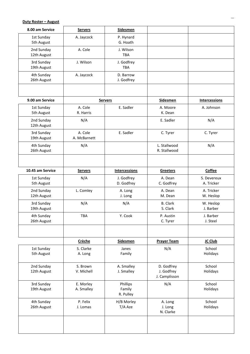#### **Duty Roster – August**

| 8.00 am Service           | <b>Servers</b>          | <b>Sidesmen</b>                 |                                           |                           |
|---------------------------|-------------------------|---------------------------------|-------------------------------------------|---------------------------|
| 1st Sunday<br>5th August  | A. Jaycock              | P. Hynard<br>G. Hoath           |                                           |                           |
| 2nd Sunday<br>12th August | A. Cole                 | J. Wilson<br><b>TBA</b>         |                                           |                           |
| 3rd Sunday<br>19th August | J. Wilson               | J. Godfrey<br><b>TBA</b>        |                                           |                           |
| 4th Sunday<br>26th August | A. Jaycock              | D. Barrow<br>J. Godfrey         |                                           |                           |
|                           |                         |                                 |                                           |                           |
| 9.00 am Service           |                         | <b>Servers</b>                  | <b>Sidesmen</b>                           | <b>Intercessions</b>      |
| 1st Sunday<br>5th August  | A. Cole<br>R. Harris    | E. Sadler                       | A. Moore<br>K. Dean                       | A. Johnson                |
| 2nd Sunday<br>12th August | N/A                     |                                 | E. Sadler                                 | N/A                       |
| 3rd Sunday<br>19th August | A. Cole<br>A. McBarnett | E. Sadler                       | C. Tyrer                                  | C. Tyrer                  |
| 4th Sunday<br>26th August | N/A                     |                                 | L. Stallwood<br>R. Stallwood              | N/A                       |
| 10.45 am Service          | <b>Servers</b>          | <b>Intercessions</b>            | <b>Greeters</b>                           | <b>Coffee</b>             |
| 1st Sunday<br>5th August  | N/A                     | J. Godfrey<br>D. Godfrey        | A. Dean<br>C. Godfrey                     | S. Devereux<br>A. Tricker |
| 2nd Sunday<br>12th August | L. Comley               | A. Long<br>J. Long              | A. Dean<br>M. Dean                        | A. Tricker<br>W. Heslop   |
| 3rd Sunday<br>19th August | N/A                     | N/A                             | B. Clark<br>S. Clark                      | W. Heslop<br>J. Barber    |
| 4th Sunday<br>26th August | <b>TBA</b>              | Y. Cook                         | P. Austin<br>C. Tyrer                     | J. Barber<br>J. Steel     |
|                           |                         |                                 |                                           |                           |
|                           | <b>Crèche</b>           | <b>Sidesmen</b>                 | <b>Prayer Team</b>                        | JC Club                   |
| 1st Sunday<br>5th August  | S. Clarke<br>A. Long    | Janes<br>Family                 | N/A                                       | School<br>Holidays        |
| 2nd Sunday<br>12th August | S. Brown<br>V. Michell  | A. Smalley<br>J. Smalley        | D. Godfrey<br>J. Godfrey<br>J. Camplisson | School<br>Holidays        |
| 3rd Sunday<br>19th August | E. Morley<br>A. Smalley | Phillips<br>Family<br>R. Pulley | N/A                                       | School<br>Holidays        |
| 4th Sunday<br>26th August | P. Felix<br>J. Lomas    | H/B Morley<br>T/A Aze           | A. Long<br>J. Long<br>N. Clarke           | School<br>Holidays        |
|                           |                         |                                 |                                           |                           |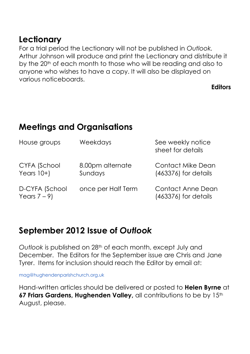### **Lectionary**

For a trial period the Lectionary will not be published in *Outlook.* Arthur Johnson will produce and print the Lectionary and distribute it by the 20<sup>th</sup> of each month to those who will be reading and also to anyone who wishes to have a copy. It will also be displayed on various noticeboards.

**Editors**

# **Meetings and Organisations**

| House groups                      | Weekdays                    | See weekly notice<br>sheet for details           |  |
|-----------------------------------|-----------------------------|--------------------------------------------------|--|
| CYFA (School<br>Years $10+$       | 8.00pm alternate<br>Sundays | <b>Contact Mike Dean</b><br>(463376) for details |  |
| D-CYFA (School<br>Years $7 - 9$ ) | once per Half Term          | <b>Contact Anne Dean</b><br>(463376) for details |  |

## **September 2012 Issue of** *Outlook*

*Outlook* is published on 28th of each month, except July and December. The Editors for the September issue are Chris and Jane Tyrer. Items for inclusion should reach the Editor by email at:

[mag@hughendenparishchurch.org.uk](mailto:mag@hughendenparishchurch.org.uk)

Hand-written articles should be delivered or posted to **Helen Byrne** at **67 Friars Gardens, Hughenden Valley, all contributions to be by 15th** August, please.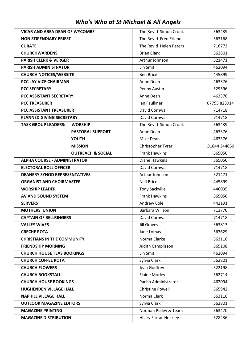|  |  |  |  |  | Who's Who at St Michael & All Angels |
|--|--|--|--|--|--------------------------------------|
|--|--|--|--|--|--------------------------------------|

| <b>VICAR AND AREA DEAN OF WYCOMBE</b>        | The Rev'd Simon Cronk   | 563439       |
|----------------------------------------------|-------------------------|--------------|
| <b>NON STIPENDIARY PRIEST</b>                | The Rev'd Fred Friend   | 563168       |
| <b>CURATE</b>                                | The Rev'd Helen Peters  | 716772       |
| <b>CHURCHWARDENS</b>                         | <b>Brian Clark</b>      | 562801       |
| <b>PARISH CLERK &amp; VERGER</b>             | Arthur Johnson          | 521471       |
| <b>PARISH ADMINISTRATOR</b>                  | Lin Smit                | 462094       |
| <b>CHURCH NOTICES/WEBSITE</b>                | <b>Ben Brice</b>        | 445899       |
| <b>PCC LAY VICE CHAIRMAN</b>                 | Anne Dean               | 463376       |
| <b>PCC SECRETARY</b>                         | Penny Austin            | 529596       |
| PCC ASSISTANT SECRETARY                      | Anne Dean               | 463376       |
| <b>PCC TREASURER</b>                         | Ian Faulkner            | 07795 823914 |
| <b>PCC ASSISTANT TREASURER</b>               | David Cornwall          | 714718       |
| <b>PLANNED GIVING SECRETARY</b>              | David Cornwall          | 714718       |
| <b>TASK GROUP LEADERS:</b><br><b>WORSHIP</b> | The Rev'd Simon Cronk   | 563439       |
| PASTORAL SUPPORT                             | Anne Dean               | 463376       |
| <b>YOUTH</b>                                 | Mike Dean               | 463376       |
| <b>MISSION</b>                               | Christopher Tyrer       | 01844 344650 |
| <b>OUTREACH &amp; SOCIAL</b>                 | <b>Frank Hawkins</b>    | 565050       |
| <b>ALPHA COURSE - ADMINISTRATOR</b>          | Diane Hawkins           | 565050       |
| <b>ELECTORAL ROLL OFFICER</b>                | David Cornwall          | 714718       |
| <b>DEANERY SYNOD REPRESENTATIVES</b>         | Arthur Johnson          | 521471       |
| <b>ORGANIST AND CHOIRMASTER</b>              | <b>Neil Brice</b>       | 445899       |
| <b>WORSHIP LEADER</b>                        | <b>Tony Sackville</b>   | 446035       |
| AV AND SOUND SYSTEM                          | <b>Frank Hawkins</b>    | 565050       |
| <b>SERVERS</b>                               | Andrew Cole             | 442191       |
| <b>MOTHERS' UNION</b>                        | Barbara Willson         | 713770       |
| <b>CAPTAIN OF BELLRINGERS</b>                | David Cornwall          | 714718       |
| <b>VALLEY WIVES</b>                          | <b>Jill Graves</b>      | 563813       |
| <b>CRECHE ROTA</b>                           | Jane Lomas              | 563629       |
| <b>CHRISTIANS IN THE COMMUNITY</b>           | Norma Clarke            | 563116       |
| <b>FRIENDSHIP MORNING</b>                    | Judith Camplisson       | 565108       |
| <b>CHURCH HOUSE TEAS BOOKINGS</b>            | Lin Smit                | 462094       |
| <b>CHURCH COFFEE ROTA</b>                    | Sylvia Clark            | 562801       |
| <b>CHURCH FLOWERS</b>                        | Jean Godfrey            | 522198       |
| <b>CHURCH BOOKSTALL</b>                      | <b>Elaine Morley</b>    | 562714       |
| <b>CHURCH HOUSE BOOKINGS</b>                 | Parish Administrator    | 462094       |
| <b>HUGHENDEN VILLAGE HALL</b>                | <b>Christine Powell</b> | 565942       |
| <b>NAPHILL VILLAGE HALL</b>                  | Norma Clark             | 563116       |
| <b>OUTLOOK MAGAZINE EDITORS</b>              | Sylvia Clark            | 562801       |
| <b>MAGAZINE PRINTING</b>                     | Norman Pulley & Team    | 563470       |
| <b>MAGAZINE DISTRIBUTION</b>                 | Hilary Farrar-Hockley   | 528236       |